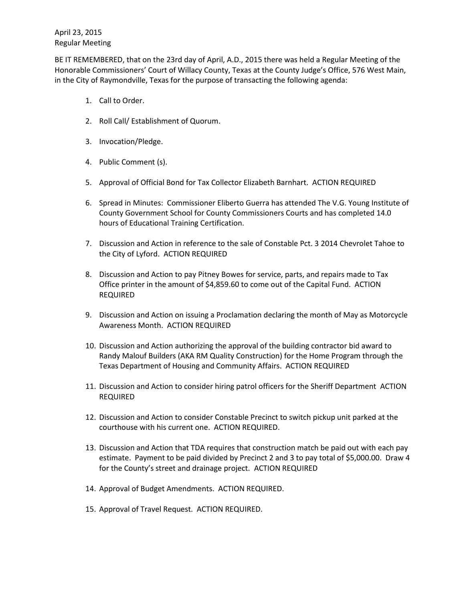BE IT REMEMBERED, that on the 23rd day of April, A.D., 2015 there was held a Regular Meeting of the Honorable Commissioners' Court of Willacy County, Texas at the County Judge's Office, 576 West Main, in the City of Raymondville, Texas for the purpose of transacting the following agenda:

- 1. Call to Order.
- 2. Roll Call/ Establishment of Quorum.
- 3. Invocation/Pledge.
- 4. Public Comment (s).
- 5. Approval of Official Bond for Tax Collector Elizabeth Barnhart. ACTION REQUIRED
- 6. Spread in Minutes: Commissioner Eliberto Guerra has attended The V.G. Young Institute of County Government School for County Commissioners Courts and has completed 14.0 hours of Educational Training Certification.
- 7. Discussion and Action in reference to the sale of Constable Pct. 3 2014 Chevrolet Tahoe to the City of Lyford. ACTION REQUIRED
- 8. Discussion and Action to pay Pitney Bowes for service, parts, and repairs made to Tax Office printer in the amount of \$4,859.60 to come out of the Capital Fund. ACTION REQUIRED
- 9. Discussion and Action on issuing a Proclamation declaring the month of May as Motorcycle Awareness Month. ACTION REQUIRED
- 10. Discussion and Action authorizing the approval of the building contractor bid award to Randy Malouf Builders (AKA RM Quality Construction) for the Home Program through the Texas Department of Housing and Community Affairs. ACTION REQUIRED
- 11. Discussion and Action to consider hiring patrol officers for the Sheriff Department ACTION REQUIRED
- 12. Discussion and Action to consider Constable Precinct to switch pickup unit parked at the courthouse with his current one. ACTION REQUIRED.
- 13. Discussion and Action that TDA requires that construction match be paid out with each pay estimate. Payment to be paid divided by Precinct 2 and 3 to pay total of \$5,000.00. Draw 4 for the County's street and drainage project. ACTION REQUIRED
- 14. Approval of Budget Amendments. ACTION REQUIRED.
- 15. Approval of Travel Request. ACTION REQUIRED.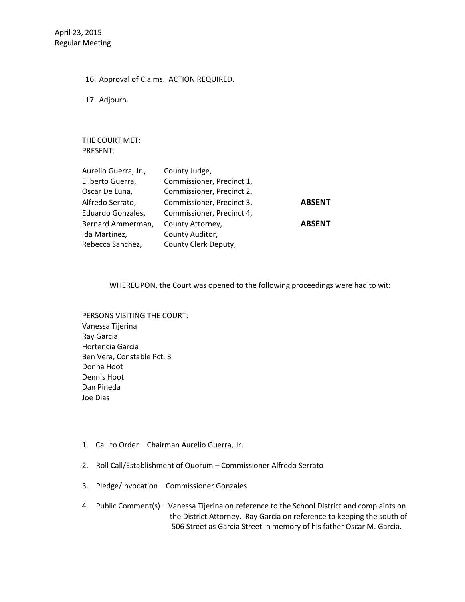16. Approval of Claims. ACTION REQUIRED.

17. Adjourn.

THE COURT MET: PRESENT:

| <b>ABSENT</b> |               |
|---------------|---------------|
|               | <b>ABSENT</b> |
|               |               |

WHEREUPON, the Court was opened to the following proceedings were had to wit:

PERSONS VISITING THE COURT: Vanessa Tijerina Ray Garcia Hortencia Garcia Ben Vera, Constable Pct. 3 Donna Hoot Dennis Hoot Dan Pineda Joe Dias

- 1. Call to Order Chairman Aurelio Guerra, Jr.
- 2. Roll Call/Establishment of Quorum Commissioner Alfredo Serrato
- 3. Pledge/Invocation Commissioner Gonzales
- 4. Public Comment(s) Vanessa Tijerina on reference to the School District and complaints on the District Attorney. Ray Garcia on reference to keeping the south of 506 Street as Garcia Street in memory of his father Oscar M. Garcia.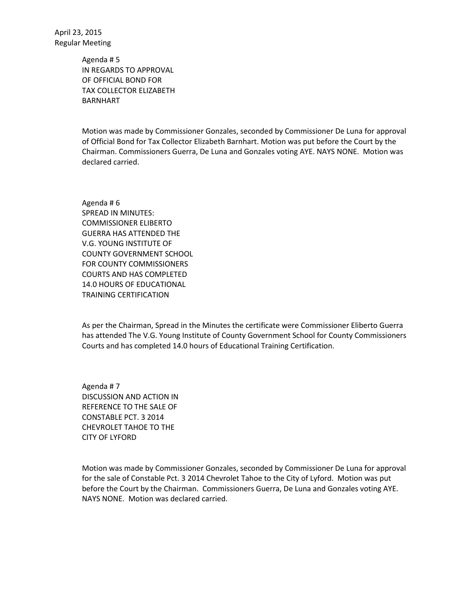> Agenda # 5 IN REGARDS TO APPROVAL OF OFFICIAL BOND FOR TAX COLLECTOR ELIZABETH BARNHART

Motion was made by Commissioner Gonzales, seconded by Commissioner De Luna for approval of Official Bond for Tax Collector Elizabeth Barnhart. Motion was put before the Court by the Chairman. Commissioners Guerra, De Luna and Gonzales voting AYE. NAYS NONE. Motion was declared carried.

Agenda # 6 SPREAD IN MINUTES: COMMISSIONER ELIBERTO GUERRA HAS ATTENDED THE V.G. YOUNG INSTITUTE OF COUNTY GOVERNMENT SCHOOL FOR COUNTY COMMISSIONERS COURTS AND HAS COMPLETED 14.0 HOURS OF EDUCATIONAL TRAINING CERTIFICATION

As per the Chairman, Spread in the Minutes the certificate were Commissioner Eliberto Guerra has attended The V.G. Young Institute of County Government School for County Commissioners Courts and has completed 14.0 hours of Educational Training Certification.

Agenda # 7 DISCUSSION AND ACTION IN REFERENCE TO THE SALE OF CONSTABLE PCT. 3 2014 CHEVROLET TAHOE TO THE CITY OF LYFORD

Motion was made by Commissioner Gonzales, seconded by Commissioner De Luna for approval for the sale of Constable Pct. 3 2014 Chevrolet Tahoe to the City of Lyford. Motion was put before the Court by the Chairman. Commissioners Guerra, De Luna and Gonzales voting AYE. NAYS NONE. Motion was declared carried.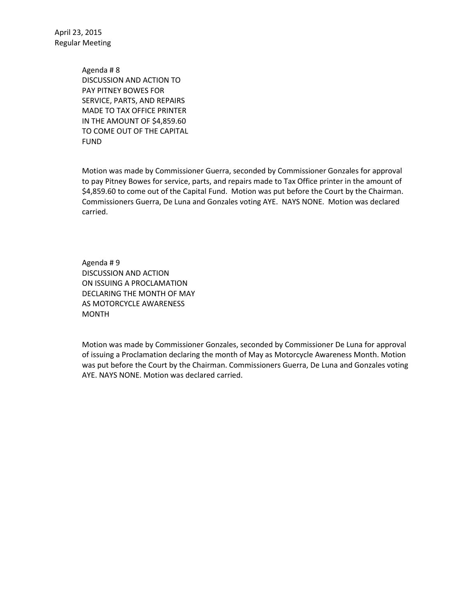> Agenda # 8 DISCUSSION AND ACTION TO PAY PITNEY BOWES FOR SERVICE, PARTS, AND REPAIRS MADE TO TAX OFFICE PRINTER IN THE AMOUNT OF \$4,859.60 TO COME OUT OF THE CAPITAL FUND

Motion was made by Commissioner Guerra, seconded by Commissioner Gonzales for approval to pay Pitney Bowes for service, parts, and repairs made to Tax Office printer in the amount of \$4,859.60 to come out of the Capital Fund. Motion was put before the Court by the Chairman. Commissioners Guerra, De Luna and Gonzales voting AYE. NAYS NONE. Motion was declared carried.

Agenda # 9 DISCUSSION AND ACTION ON ISSUING A PROCLAMATION DECLARING THE MONTH OF MAY AS MOTORCYCLE AWARENESS MONTH

Motion was made by Commissioner Gonzales, seconded by Commissioner De Luna for approval of issuing a Proclamation declaring the month of May as Motorcycle Awareness Month. Motion was put before the Court by the Chairman. Commissioners Guerra, De Luna and Gonzales voting AYE. NAYS NONE. Motion was declared carried.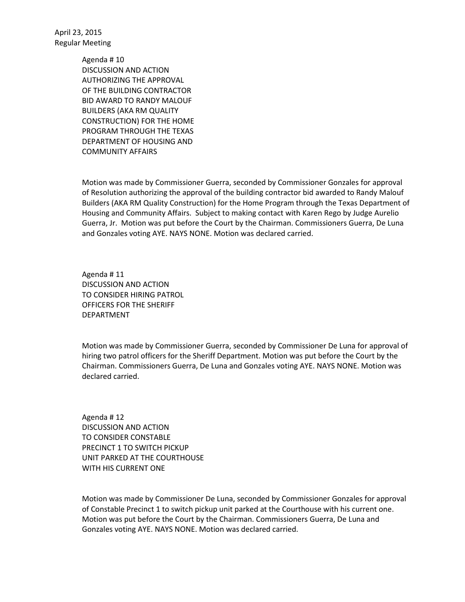> Agenda # 10 DISCUSSION AND ACTION AUTHORIZING THE APPROVAL OF THE BUILDING CONTRACTOR BID AWARD TO RANDY MALOUF BUILDERS (AKA RM QUALITY CONSTRUCTION) FOR THE HOME PROGRAM THROUGH THE TEXAS DEPARTMENT OF HOUSING AND COMMUNITY AFFAIRS

Motion was made by Commissioner Guerra, seconded by Commissioner Gonzales for approval of Resolution authorizing the approval of the building contractor bid awarded to Randy Malouf Builders (AKA RM Quality Construction) for the Home Program through the Texas Department of Housing and Community Affairs. Subject to making contact with Karen Rego by Judge Aurelio Guerra, Jr. Motion was put before the Court by the Chairman. Commissioners Guerra, De Luna and Gonzales voting AYE. NAYS NONE. Motion was declared carried.

Agenda # 11 DISCUSSION AND ACTION TO CONSIDER HIRING PATROL OFFICERS FOR THE SHERIFF DEPARTMENT

Motion was made by Commissioner Guerra, seconded by Commissioner De Luna for approval of hiring two patrol officers for the Sheriff Department. Motion was put before the Court by the Chairman. Commissioners Guerra, De Luna and Gonzales voting AYE. NAYS NONE. Motion was declared carried.

Agenda # 12 DISCUSSION AND ACTION TO CONSIDER CONSTABLE PRECINCT 1 TO SWITCH PICKUP UNIT PARKED AT THE COURTHOUSE WITH HIS CURRENT ONE

Motion was made by Commissioner De Luna, seconded by Commissioner Gonzales for approval of Constable Precinct 1 to switch pickup unit parked at the Courthouse with his current one. Motion was put before the Court by the Chairman. Commissioners Guerra, De Luna and Gonzales voting AYE. NAYS NONE. Motion was declared carried.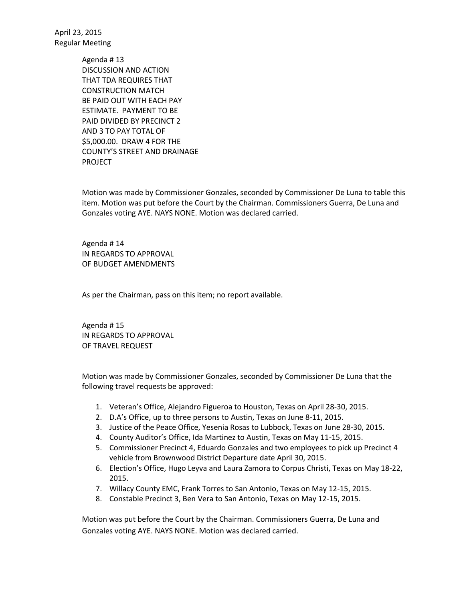> Agenda # 13 DISCUSSION AND ACTION THAT TDA REQUIRES THAT CONSTRUCTION MATCH BE PAID OUT WITH EACH PAY ESTIMATE. PAYMENT TO BE PAID DIVIDED BY PRECINCT 2 AND 3 TO PAY TOTAL OF \$5,000.00. DRAW 4 FOR THE COUNTY'S STREET AND DRAINAGE PROJECT

Motion was made by Commissioner Gonzales, seconded by Commissioner De Luna to table this item. Motion was put before the Court by the Chairman. Commissioners Guerra, De Luna and Gonzales voting AYE. NAYS NONE. Motion was declared carried.

Agenda # 14 IN REGARDS TO APPROVAL OF BUDGET AMENDMENTS

As per the Chairman, pass on this item; no report available.

Agenda # 15 IN REGARDS TO APPROVAL OF TRAVEL REQUEST

Motion was made by Commissioner Gonzales, seconded by Commissioner De Luna that the following travel requests be approved:

- 1. Veteran's Office, Alejandro Figueroa to Houston, Texas on April 28-30, 2015.
- 2. D.A's Office, up to three persons to Austin, Texas on June 8-11, 2015.
- 3. Justice of the Peace Office, Yesenia Rosas to Lubbock, Texas on June 28-30, 2015.
- 4. County Auditor's Office, Ida Martinez to Austin, Texas on May 11-15, 2015.
- 5. Commissioner Precinct 4, Eduardo Gonzales and two employees to pick up Precinct 4 vehicle from Brownwood District Departure date April 30, 2015.
- 6. Election's Office, Hugo Leyva and Laura Zamora to Corpus Christi, Texas on May 18-22, 2015.
- 7. Willacy County EMC, Frank Torres to San Antonio, Texas on May 12-15, 2015.
- 8. Constable Precinct 3, Ben Vera to San Antonio, Texas on May 12-15, 2015.

Motion was put before the Court by the Chairman. Commissioners Guerra, De Luna and Gonzales voting AYE. NAYS NONE. Motion was declared carried.